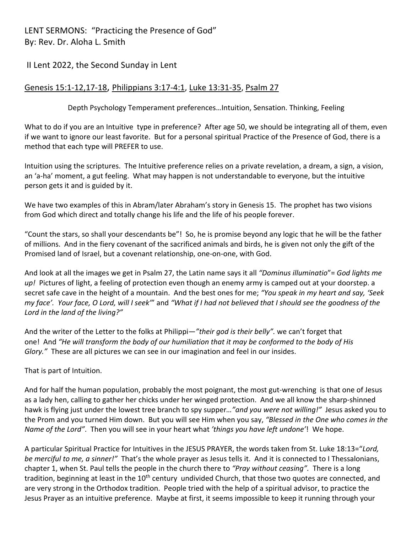## LENT SERMONS: "Practicing the Presence of God" By: Rev. Dr. Aloha L. Smith

## II Lent 2022, the Second Sunday in Lent

## Genesis 15:1-12,17-18, Philippians 3:17-4:1, Luke 13:31-35, Psalm 27

Depth Psychology Temperament preferences…Intuition, Sensation. Thinking, Feeling

What to do if you are an Intuitive type in preference? After age 50, we should be integrating all of them, even if we want to ignore our least favorite. But for a personal spiritual Practice of the Presence of God, there is a method that each type will PREFER to use.

Intuition using the scriptures. The Intuitive preference relies on a private revelation, a dream, a sign, a vision, an 'a-ha' moment, a gut feeling. What may happen is not understandable to everyone, but the intuitive person gets it and is guided by it.

We have two examples of this in Abram/later Abraham's story in Genesis 15. The prophet has two visions from God which direct and totally change his life and the life of his people forever.

"Count the stars, so shall your descendants be"! So, he is promise beyond any logic that he will be the father of millions. And in the fiery covenant of the sacrificed animals and birds, he is given not only the gift of the Promised land of Israel, but a covenant relationship, one-on-one, with God.

And look at all the images we get in Psalm 27, the Latin name says it all *"Dominus illuminatio*"= *God lights me up!* Pictures of light, a feeling of protection even though an enemy army is camped out at your doorstep. a secret safe cave in the height of a mountain. And the best ones for me; *"You speak in my heart and say, 'Seek my face'. Your face, O Lord, will I seek'*" and *"What if I had not believed that I should see the goodness of the Lord in the land of the living?"*

And the writer of the Letter to the folks at Philippi—*"their god is their belly".* we can't forget that one! And *"He will transform the body of our humiliation that it may be conformed to the body of His Glory."* These are all pictures we can see in our imagination and feel in our insides.

That is part of Intuition.

And for half the human population, probably the most poignant, the most gut-wrenching is that one of Jesus as a lady hen, calling to gather her chicks under her winged protection. And we all know the sharp-shinned hawk is flying just under the lowest tree branch to spy supper*…"and you were not willing!"* Jesus asked you to the Prom and you turned Him down. But you will see Him when you say, *"Blessed in the One who comes in the Name of the Lord"*. Then you will see in your heart what *'things you have left undone'*! We hope.

A particular Spiritual Practice for Intuitives in the JESUS PRAYER, the words taken from St. Luke 18:13="*Lord, be merciful to me, a sinner!"* That's the whole prayer as Jesus tells it. And it is connected to I Thessalonians, chapter 1, when St. Paul tells the people in the church there to *"Pray without ceasing".* There is a long tradition, beginning at least in the 10<sup>th</sup> century undivided Church, that those two quotes are connected, and are very strong in the Orthodox tradition. People tried with the help of a spiritual advisor, to practice the Jesus Prayer as an intuitive preference. Maybe at first, it seems impossible to keep it running through your